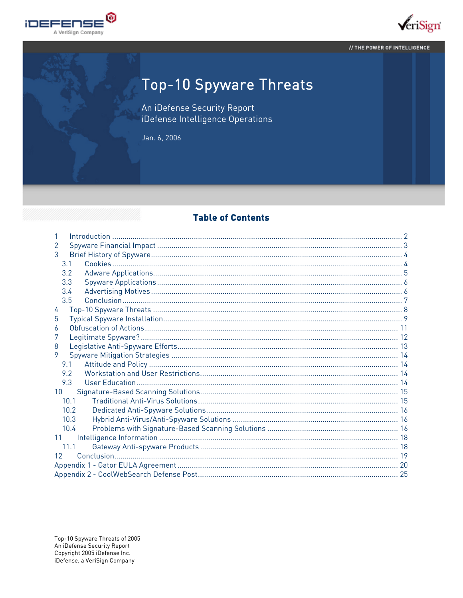

#### // THE POWER OF INTELLIGENCE



# Top-10 Spyware Threats

An iDefense Security Report iDefense Intelligence Operations

Jan. 6, 2006

### **Table of Contents**

| 2    |  |  |  |  |
|------|--|--|--|--|
| 3    |  |  |  |  |
| 3.1  |  |  |  |  |
| 3.2  |  |  |  |  |
| 3.3  |  |  |  |  |
| 3.4  |  |  |  |  |
| 3.5  |  |  |  |  |
| 4    |  |  |  |  |
| 5    |  |  |  |  |
| 6    |  |  |  |  |
|      |  |  |  |  |
| 8    |  |  |  |  |
| 9    |  |  |  |  |
| 9.1  |  |  |  |  |
| 9.2  |  |  |  |  |
| 9.3  |  |  |  |  |
| 10   |  |  |  |  |
| 10.1 |  |  |  |  |
| 10.2 |  |  |  |  |
| 10.3 |  |  |  |  |
| 10.4 |  |  |  |  |
| 11   |  |  |  |  |
| 11.1 |  |  |  |  |
| 12   |  |  |  |  |
|      |  |  |  |  |
|      |  |  |  |  |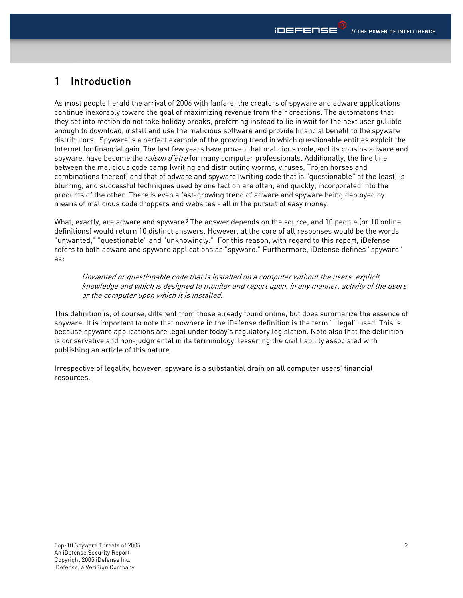## 1 Introduction

As most people herald the arrival of 2006 with fanfare, the creators of spyware and adware applications continue inexorably toward the goal of maximizing revenue from their creations. The automatons that they set into motion do not take holiday breaks, preferring instead to lie in wait for the next user gullible enough to download, install and use the malicious software and provide financial benefit to the spyware distributors. Spyware is a perfect example of the growing trend in which questionable entities exploit the Internet for financial gain. The last few years have proven that malicious code, and its cousins adware and spyware, have become the *raison d'être* for many computer professionals. Additionally, the fine line between the malicious code camp (writing and distributing worms, viruses, Trojan horses and combinations thereof) and that of adware and spyware (writing code that is "questionable" at the least) is blurring, and successful techniques used by one faction are often, and quickly, incorporated into the products of the other. There is even a fast-growing trend of adware and spyware being deployed by means of malicious code droppers and websites - all in the pursuit of easy money.

What, exactly, are adware and spyware? The answer depends on the source, and 10 people (or 10 online definitions) would return 10 distinct answers. However, at the core of all responses would be the words "unwanted," "questionable" and "unknowingly." For this reason, with regard to this report, iDefense refers to both adware and spyware applications as "spyware." Furthermore, iDefense defines "spyware" as:

Unwanted or questionable code that is installed on a computer without the users' explicit knowledge and which is designed to monitor and report upon, in any manner, activity of the users or the computer upon which it is installed.

This definition is, of course, different from those already found online, but does summarize the essence of spyware. It is important to note that nowhere in the iDefense definition is the term "illegal" used. This is because spyware applications are legal under today's regulatory legislation. Note also that the definition is conservative and non-judgmental in its terminology, lessening the civil liability associated with publishing an article of this nature.

Irrespective of legality, however, spyware is a substantial drain on all computer users' financial resources.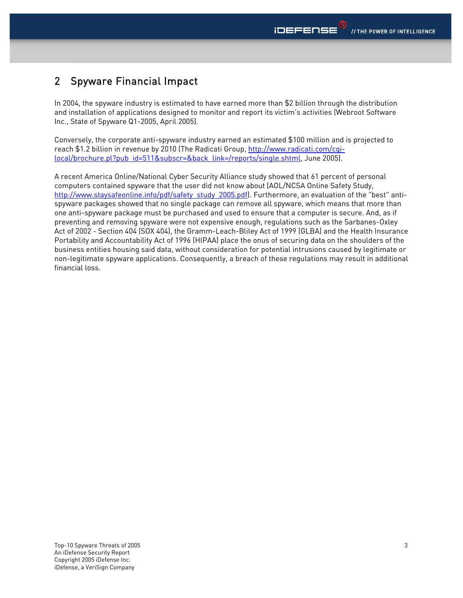## 2 Spyware Financial Impact

In 2004, the spyware industry is estimated to have earned more than \$2 billion through the distribution and installation of applications designed to monitor and report its victim's activities (Webroot Software Inc., State of Spyware Q1-2005, April 2005).

Conversely, the corporate anti-spyware industry earned an estimated \$100 million and is projected to reach \$1.2 billion in revenue by 2010 (The Radicati Group, http://www.radicati.com/cgilocal/brochure.pl?pub\_id=511&subscr=&back\_link=/reports/single.shtml, June 2005).

A recent America Online/National Cyber Security Alliance study showed that 61 percent of personal computers contained spyware that the user did not know about (AOL/NCSA Online Safety Study, http://www.staysafeonline.info/pdf/safety\_study\_2005.pdf). Furthermore, an evaluation of the "best" antispyware packages showed that no single package can remove all spyware, which means that more than one anti-spyware package must be purchased and used to ensure that a computer is secure. And, as if preventing and removing spyware were not expensive enough, regulations such as the Sarbanes-Oxley Act of 2002 - Section 404 (SOX 404), the Gramm-Leach-Bliley Act of 1999 (GLBA) and the Health Insurance Portability and Accountability Act of 1996 (HIPAA) place the onus of securing data on the shoulders of the business entities housing said data, without consideration for potential intrusions caused by legitimate or non-legitimate spyware applications. Consequently, a breach of these regulations may result in additional financial loss.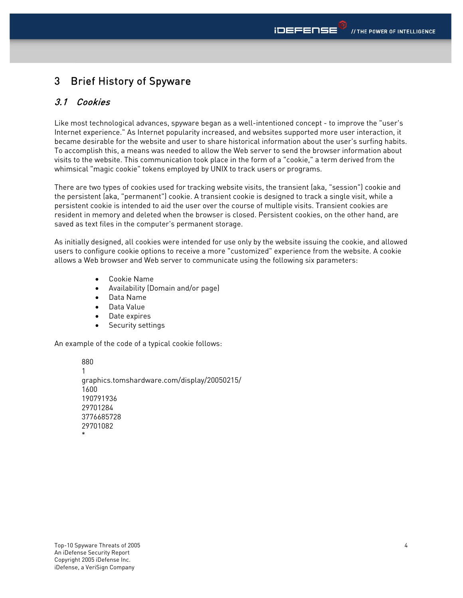## 3 Brief History of Spyware

### 3.1 Cookies

Like most technological advances, spyware began as a well-intentioned concept - to improve the "user's Internet experience." As Internet popularity increased, and websites supported more user interaction, it became desirable for the website and user to share historical information about the user's surfing habits. To accomplish this, a means was needed to allow the Web server to send the browser information about visits to the website. This communication took place in the form of a "cookie," a term derived from the whimsical "magic cookie" tokens employed by UNIX to track users or programs.

There are two types of cookies used for tracking website visits, the transient (aka, "session") cookie and the persistent (aka, "permanent") cookie. A transient cookie is designed to track a single visit, while a persistent cookie is intended to aid the user over the course of multiple visits. Transient cookies are resident in memory and deleted when the browser is closed. Persistent cookies, on the other hand, are saved as text files in the computer's permanent storage.

As initially designed, all cookies were intended for use only by the website issuing the cookie, and allowed users to configure cookie options to receive a more "customized" experience from the website. A cookie allows a Web browser and Web server to communicate using the following six parameters:

- Cookie Name
- Availability (Domain and/or page)
- Data Name
- Data Value
- Date expires
- Security settings

An example of the code of a typical cookie follows:

```
880 
1 
graphics.tomshardware.com/display/20050215/ 
1600 
190791936 
29701284 
3776685728 
29701082 
*
```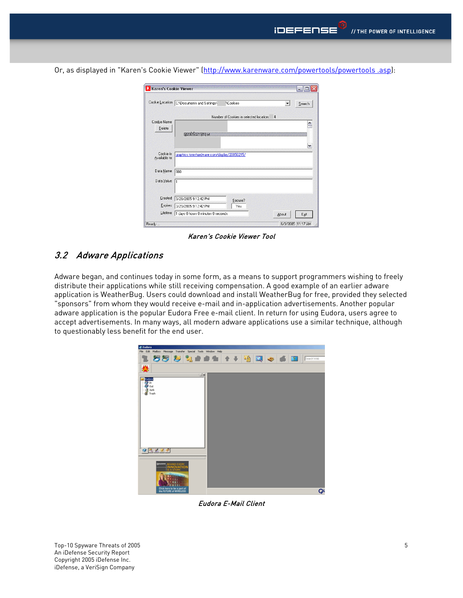Or, as displayed in "Karen's Cookie Viewer" (http://www.karenware.com/powertools/powertools .asp):

| K Karen's Cookie Viewer    |                                             | A MARINA ANG ANG MANGANGAN NA TAONG NASA NA SA AGE |                      |                   |
|----------------------------|---------------------------------------------|----------------------------------------------------|----------------------|-------------------|
| Cookie Location            | C:\Documents and Settings\                  | <b>\Cookies</b>                                    | $\blacktriangledown$ | Search            |
|                            |                                             | Number of Cookies in selected location:            | $\overline{4}$       |                   |
| Cookie Name:<br>Delete     |                                             |                                                    |                      |                   |
|                            | @20050215[1].txt                            |                                                    |                      |                   |
|                            |                                             |                                                    |                      |                   |
| Cookie is<br>Available to: | graphics.tomshardware.com/display/20050215/ |                                                    |                      |                   |
| Data Name:                 | 880                                         |                                                    |                      |                   |
| Data Value:                | l1                                          |                                                    |                      |                   |
|                            |                                             |                                                    |                      |                   |
| Created:                   | 3/28/2005 9:12:42 PM                        | Secure?                                            |                      |                   |
| Expires:                   | 3/29/2005 9:12:42 PM                        | Yes                                                |                      |                   |
| Lifetime:                  | 1 days 0 hours 0 minutes 0 seconds          |                                                    | About                | Exit              |
| Ready                      |                                             |                                                    |                      | 6/3/2005 11:17 AM |

Karen's Cookie Viewer Tool

### 3.2 Adware Applications

Adware began, and continues today in some form, as a means to support programmers wishing to freely distribute their applications while still receiving compensation. A good example of an earlier adware application is WeatherBug. Users could download and install WeatherBug for free, provided they selected "sponsors" from whom they would receive e-mail and in-application advertisements. Another popular adware application is the popular Eudora Free e-mail client. In return for using Eudora, users agree to accept advertisements. In many ways, all modern adware applications use a similar technique, although to questionably less benefit for the end user.



Eudora E-Mail Client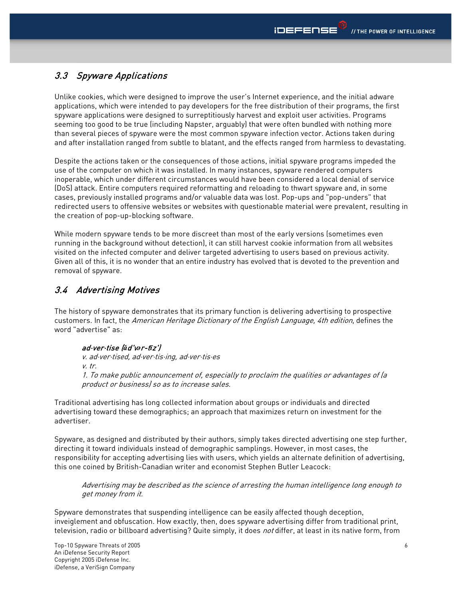### 3.3 Spyware Applications

Unlike cookies, which were designed to improve the user's Internet experience, and the initial adware applications, which were intended to pay developers for the free distribution of their programs, the first spyware applications were designed to surreptitiously harvest and exploit user activities. Programs seeming too good to be true (including Napster, arguably) that were often bundled with nothing more than several pieces of spyware were the most common spyware infection vector. Actions taken during and after installation ranged from subtle to blatant, and the effects ranged from harmless to devastating.

Despite the actions taken or the consequences of those actions, initial spyware programs impeded the use of the computer on which it was installed. In many instances, spyware rendered computers inoperable, which under different circumstances would have been considered a local denial of service (DoS) attack. Entire computers required reformatting and reloading to thwart spyware and, in some cases, previously installed programs and/or valuable data was lost. Pop-ups and "pop-unders" that redirected users to offensive websites or websites with questionable material were prevalent, resulting in the creation of pop-up-blocking software.

While modern spyware tends to be more discreet than most of the early versions (sometimes even running in the background without detection), it can still harvest cookie information from all websites visited on the infected computer and deliver targeted advertising to users based on previous activity. Given all of this, it is no wonder that an entire industry has evolved that is devoted to the prevention and removal of spyware.

### 3.4 Advertising Motives

The history of spyware demonstrates that its primary function is delivering advertising to prospective customers. In fact, the American Heritage Dictionary of the English Language, 4th edition, defines the word "advertise" as:

### ad·ver·tise (*ă*d'v*ə*r-t*ī*z')

v. ad·ver·tised, ad·ver·tis·ing, ad·ver·tis·es v. tr. 1. To make public announcement of, especially to proclaim the qualities or advantages of (a product or business) so as to increase sales.

Traditional advertising has long collected information about groups or individuals and directed advertising toward these demographics; an approach that maximizes return on investment for the advertiser.

Spyware, as designed and distributed by their authors, simply takes directed advertising one step further, directing it toward individuals instead of demographic samplings. However, in most cases, the responsibility for accepting advertising lies with users, which yields an alternate definition of advertising, this one coined by British-Canadian writer and economist Stephen Butler Leacock:

Advertising may be described as the science of arresting the human intelligence long enough to get money from it.

Spyware demonstrates that suspending intelligence can be easily affected though deception, inveiglement and obfuscation. How exactly, then, does spyware advertising differ from traditional print, television, radio or billboard advertising? Quite simply, it does not differ, at least in its native form, from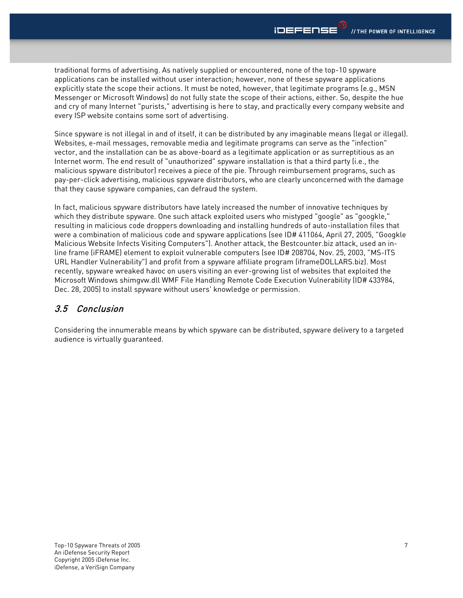traditional forms of advertising. As natively supplied or encountered, none of the top-10 spyware applications can be installed without user interaction; however, none of these spyware applications explicitly state the scope their actions. It must be noted, however, that legitimate programs (e.g., MSN Messenger or Microsoft Windows) do not fully state the scope of their actions, either. So, despite the hue and cry of many Internet "purists," advertising is here to stay, and practically every company website and every ISP website contains some sort of advertising.

Since spyware is not illegal in and of itself, it can be distributed by any imaginable means (legal or illegal). Websites, e-mail messages, removable media and legitimate programs can serve as the "infection" vector, and the installation can be as above-board as a legitimate application or as surreptitious as an Internet worm. The end result of "unauthorized" spyware installation is that a third party (i.e., the malicious spyware distributor) receives a piece of the pie. Through reimbursement programs, such as pay-per-click advertising, malicious spyware distributors, who are clearly unconcerned with the damage that they cause spyware companies, can defraud the system.

In fact, malicious spyware distributors have lately increased the number of innovative techniques by which they distribute spyware. One such attack exploited users who mistyped "google" as "googkle," resulting in malicious code droppers downloading and installing hundreds of auto-installation files that were a combination of malicious code and spyware applications (see ID# 411064, April 27, 2005, "Googkle Malicious Website Infects Visiting Computers"). Another attack, the Bestcounter.biz attack, used an inline frame (iFRAME) element to exploit vulnerable computers (see ID# 208704, Nov. 25, 2003, "MS-ITS URL Handler Vulnerability") and profit from a spyware affiliate program (iframeDOLLARS.biz). Most recently, spyware wreaked havoc on users visiting an ever-growing list of websites that exploited the Microsoft Windows shimgvw.dll WMF File Handling Remote Code Execution Vulnerability (ID# 433984, Dec. 28, 2005) to install spyware without users' knowledge or permission.

### 3.5 Conclusion

Considering the innumerable means by which spyware can be distributed, spyware delivery to a targeted audience is virtually guaranteed.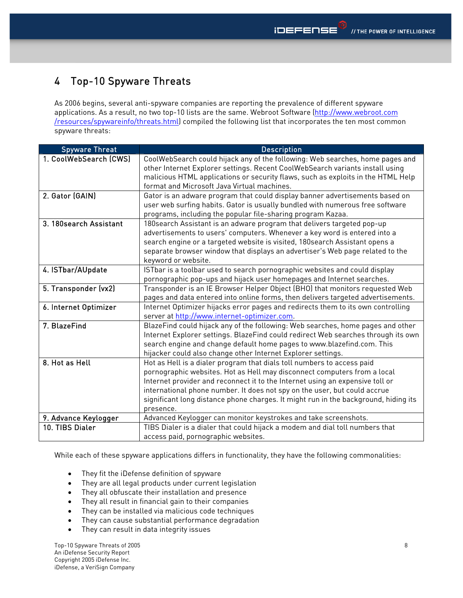## 4 Top-10 Spyware Threats

As 2006 begins, several anti-spyware companies are reporting the prevalence of different spyware applications. As a result, no two top-10 lists are the same. Webroot Software (http://www.webroot.com /resources/spywareinfo/threats.html) compiled the following list that incorporates the ten most common spyware threats:

| <b>Spyware Threat</b>  | <b>Description</b>                                                                                                               |  |
|------------------------|----------------------------------------------------------------------------------------------------------------------------------|--|
| 1. CoolWebSearch (CWS) | CoolWebSearch could hijack any of the following: Web searches, home pages and                                                    |  |
|                        | other Internet Explorer settings. Recent CoolWebSearch variants install using                                                    |  |
|                        | malicious HTML applications or security flaws, such as exploits in the HTML Help<br>format and Microsoft Java Virtual machines.  |  |
| 2. Gator (GAIN)        | Gator is an adware program that could display banner advertisements based on                                                     |  |
|                        | user web surfing habits. Gator is usually bundled with numerous free software                                                    |  |
|                        | programs, including the popular file-sharing program Kazaa.                                                                      |  |
| 3. 180search Assistant | 180search Assistant is an adware program that delivers targeted pop-up                                                           |  |
|                        | advertisements to users' computers. Whenever a key word is entered into a                                                        |  |
|                        | search engine or a targeted website is visited, 180search Assistant opens a                                                      |  |
|                        | separate browser window that displays an advertiser's Web page related to the                                                    |  |
|                        | keyword or website.                                                                                                              |  |
| 4. ISTbar/AUpdate      | ISTbar is a toolbar used to search pornographic websites and could display                                                       |  |
|                        | pornographic pop-ups and hijack user homepages and Internet searches.                                                            |  |
| 5. Transponder (vx2)   | Transponder is an IE Browser Helper Object (BHO) that monitors requested Web                                                     |  |
|                        | pages and data entered into online forms, then delivers targeted advertisements.                                                 |  |
| 6. Internet Optimizer  | Internet Optimizer hijacks error pages and redirects them to its own controlling<br>server at http://www.internet-optimizer.com. |  |
| 7. BlazeFind           | BlazeFind could hijack any of the following: Web searches, home pages and other                                                  |  |
|                        | Internet Explorer settings. BlazeFind could redirect Web searches through its own                                                |  |
|                        | search engine and change default home pages to www.blazefind.com. This                                                           |  |
|                        | hijacker could also change other Internet Explorer settings.                                                                     |  |
| 8. Hot as Hell         | Hot as Hell is a dialer program that dials toll numbers to access paid                                                           |  |
|                        | pornographic websites. Hot as Hell may disconnect computers from a local                                                         |  |
|                        | Internet provider and reconnect it to the Internet using an expensive toll or                                                    |  |
|                        | international phone number. It does not spy on the user, but could accrue                                                        |  |
|                        | significant long distance phone charges. It might run in the background, hiding its                                              |  |
|                        | presence.                                                                                                                        |  |
| 9. Advance Keylogger   | Advanced Keylogger can monitor keystrokes and take screenshots.                                                                  |  |
| 10. TIBS Dialer        | TIBS Dialer is a dialer that could hijack a modem and dial toll numbers that                                                     |  |
|                        | access paid, pornographic websites.                                                                                              |  |

While each of these spyware applications differs in functionality, they have the following commonalities:

- They fit the iDefense definition of spyware
- They are all legal products under current legislation
- They all obfuscate their installation and presence
- They all result in financial gain to their companies
- They can be installed via malicious code techniques
- They can cause substantial performance degradation
- They can result in data integrity issues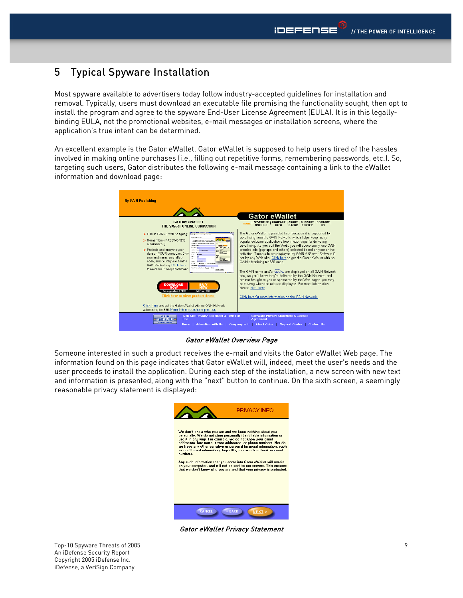## 5 Typical Spyware Installation

Most spyware available to advertisers today follow industry-accepted guidelines for installation and removal. Typically, users must download an executable file promising the functionality sought, then opt to install the program and agree to the spyware End-User License Agreement (EULA). It is in this legallybinding EULA, not the promotional websites, e-mail messages or installation screens, where the application's true intent can be determined.

An excellent example is the Gator eWallet. Gator eWallet is supposed to help users tired of the hassles involved in making online purchases (i.e., filling out repetitive forms, remembering passwords, etc.). So, targeting such users, Gator distributes the following e-mail message containing a link to the eWallet information and download page:

| <b>By GAIN Publishing</b>                                                                                                                                                                                                                                                                                                                                                                                                                                                                                                                                                                                                                                                                                                                                                                                                                                                                                 |                                                                                                                                                                                                                                                                                                                                                                                                                                                                                                                                                                                                                                                                                                                                                                                                                                                                                                                                                                        |
|-----------------------------------------------------------------------------------------------------------------------------------------------------------------------------------------------------------------------------------------------------------------------------------------------------------------------------------------------------------------------------------------------------------------------------------------------------------------------------------------------------------------------------------------------------------------------------------------------------------------------------------------------------------------------------------------------------------------------------------------------------------------------------------------------------------------------------------------------------------------------------------------------------------|------------------------------------------------------------------------------------------------------------------------------------------------------------------------------------------------------------------------------------------------------------------------------------------------------------------------------------------------------------------------------------------------------------------------------------------------------------------------------------------------------------------------------------------------------------------------------------------------------------------------------------------------------------------------------------------------------------------------------------------------------------------------------------------------------------------------------------------------------------------------------------------------------------------------------------------------------------------------|
|                                                                                                                                                                                                                                                                                                                                                                                                                                                                                                                                                                                                                                                                                                                                                                                                                                                                                                           | <b>Gator eWallet</b>                                                                                                                                                                                                                                                                                                                                                                                                                                                                                                                                                                                                                                                                                                                                                                                                                                                                                                                                                   |
| <b>GATOR® eWALLET</b><br>THE SMART ONLINE COMPANION<br>> Fills in FORMS with no typing!<br><b><i><u>Electro Maleria a Bar</u></i></b><br>> Remembers PASSWORDS<br><b>Chainman Mercedian In Card</b><br><b>CONSUMERS IN THE REAL PROPERTY</b><br>Craft Grd Marculosithining Marculus<br>automatically<br><b>Birthweise</b><br><b>Lot News Body</b><br>> Protects and encrypts your<br><b>CALIFORNIA CALIFORNIA CALIFORNIA</b><br><b>Ballymann</b><br>Accounting to<br>data on YOUR computer. Only<br><b>CHI</b><br><b>Burning</b><br>vour first name, postal/zip<br>Chris-<br>code, and country are sent to<br><b>Eliza</b><br>GAIN Publishing, Click here<br>LIFEPERDY, Insert-Televisional<br><b>Institute colonials of Cand 17 for</b><br>to read our Privacy Statement.<br><b>DOWNLOAD</b><br><b>BUY</b><br><b>NOW</b><br>NOW<br>Advancement FREE<br>Ad-Free: \$30<br>Click here to view product demo. | ADVERTISE   COMPANY   ABOUT   SUPPORT   CONTACT  <br>WITH US   INFO   GATOR   CENTER   US<br><b>HOME</b><br>The Gator eWallet is provided free, because it is supported by<br>advertising from the GAIN Network, which helps keep many<br>popular software applications free in exchange for delivering<br>advertising. As you surf the Web, you will occasionally see GAIN<br>branded ads (pop-ups and others) selected based on your online<br>activities. These ads are displayed by GAIN AdServer Software D<br>not by any Web site. Click here to get the Gator eWallet with no<br>GAIN advertising for \$30 each.<br>The GAIN name and/or GAIN, are displayed on all GAIN Network<br>ads, so you'll know they're delivered by the GAIN Network, and<br>are not brought to you or sponsored by the Web pages you may<br>be viewing when the ads are displayed. For more information<br>please click here.<br>Click here for more information on the GAIN Network. |
| Click here and get the Gator eWallet with no GAIN Network<br>advertising for \$30. More info on purchase process                                                                                                                                                                                                                                                                                                                                                                                                                                                                                                                                                                                                                                                                                                                                                                                          |                                                                                                                                                                                                                                                                                                                                                                                                                                                                                                                                                                                                                                                                                                                                                                                                                                                                                                                                                                        |
| Web Site Privacy Statement & Terms of<br><b>GAIN</b><br>Use<br><b>ANTI-SPYWARE*</b><br><b>COMMITMENT</b><br><b>Advertise with Us</b><br>Home                                                                                                                                                                                                                                                                                                                                                                                                                                                                                                                                                                                                                                                                                                                                                              | <b>Software Privacy Statement &amp; License</b><br><b>Agreement</b><br><b>Support Center</b><br><b>Contact Us</b><br><b>Company Info</b><br>About Gator                                                                                                                                                                                                                                                                                                                                                                                                                                                                                                                                                                                                                                                                                                                                                                                                                |

Gator eWallet Overview Page

Someone interested in such a product receives the e-mail and visits the Gator eWallet Web page. The information found on this page indicates that Gator eWallet will, indeed, meet the user's needs and the user proceeds to install the application. During each step of the installation, a new screen with new text and information is presented, along with the "next" button to continue. On the sixth screen, a seemingly reasonable privacy statement is displayed:



Gator eWallet Privacy Statement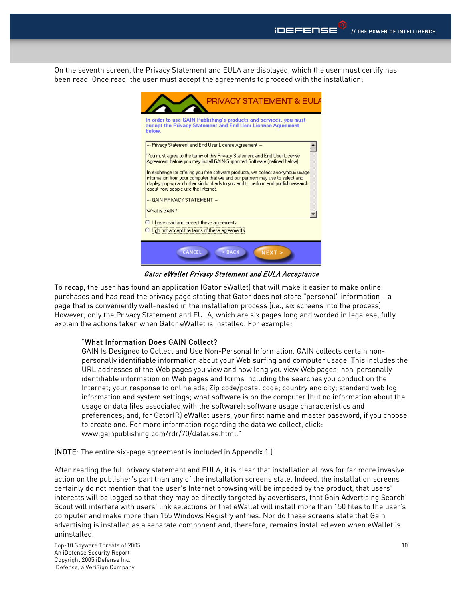On the seventh screen, the Privacy Statement and EULA are displayed, which the user must certify has been read. Once read, the user must accept the agreements to proceed with the installation:



Gator eWallet Privacy Statement and EULA Acceptance

To recap, the user has found an application (Gator eWallet) that will make it easier to make online purchases and has read the privacy page stating that Gator does not store "personal" information – a page that is conveniently well-nested in the installation process (i.e., six screens into the process). However, only the Privacy Statement and EULA, which are six pages long and worded in legalese, fully explain the actions taken when Gator eWallet is installed. For example:

### "What Information Does GAIN Collect?

GAIN Is Designed to Collect and Use Non-Personal Information. GAIN collects certain nonpersonally identifiable information about your Web surfing and computer usage. This includes the URL addresses of the Web pages you view and how long you view Web pages; non-personally identifiable information on Web pages and forms including the searches you conduct on the Internet; your response to online ads; Zip code/postal code; country and city; standard web log information and system settings; what software is on the computer (but no information about the usage or data files associated with the software); software usage characteristics and preferences; and, for Gator(R) eWallet users, your first name and master password, if you choose to create one. For more information regarding the data we collect, click: www.gainpublishing.com/rdr/70/datause.html."

(NOTE: The entire six-page agreement is included in Appendix 1.)

After reading the full privacy statement and EULA, it is clear that installation allows for far more invasive action on the publisher's part than any of the installation screens state. Indeed, the installation screens certainly do not mention that the user's Internet browsing will be impeded by the product, that users' interests will be logged so that they may be directly targeted by advertisers, that Gain Advertising Search Scout will interfere with users' link selections or that eWallet will install more than 150 files to the user's computer and make more than 155 Windows Registry entries. Nor do these screens state that Gain advertising is installed as a separate component and, therefore, remains installed even when eWallet is uninstalled.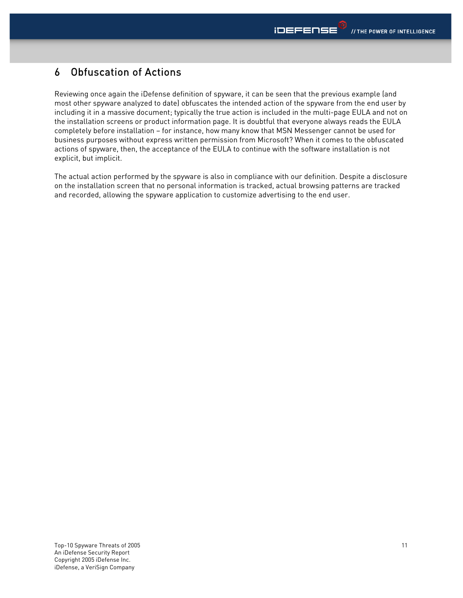## 6 Obfuscation of Actions

Reviewing once again the iDefense definition of spyware, it can be seen that the previous example (and most other spyware analyzed to date) obfuscates the intended action of the spyware from the end user by including it in a massive document; typically the true action is included in the multi-page EULA and not on the installation screens or product information page. It is doubtful that everyone always reads the EULA completely before installation – for instance, how many know that MSN Messenger cannot be used for business purposes without express written permission from Microsoft? When it comes to the obfuscated actions of spyware, then, the acceptance of the EULA to continue with the software installation is not explicit, but implicit.

The actual action performed by the spyware is also in compliance with our definition. Despite a disclosure on the installation screen that no personal information is tracked, actual browsing patterns are tracked and recorded, allowing the spyware application to customize advertising to the end user.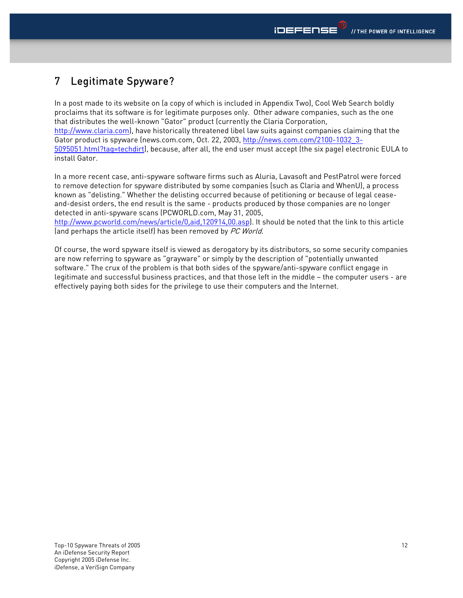## 7 Legitimate Spyware?

In a post made to its website on (a copy of which is included in Appendix Two), Cool Web Search boldly proclaims that its software is for legitimate purposes only. Other adware companies, such as the one that distributes the well-known "Gator" product (currently the Claria Corporation, http://www.claria.com), have historically threatened libel law suits against companies claiming that the Gator product is spyware (news.com.com, Oct. 22, 2003, http://news.com.com/2100-1032\_3- 5095051.html?tag=techdirt), because, after all, the end user must accept (the six page) electronic EULA to install Gator.

In a more recent case, anti-spyware software firms such as Aluria, Lavasoft and PestPatrol were forced to remove detection for spyware distributed by some companies (such as Claria and WhenU), a process known as "delisting." Whether the delisting occurred because of petitioning or because of legal ceaseand-desist orders, the end result is the same - products produced by those companies are no longer detected in anti-spyware scans (PCWORLD.com, May 31, 2005,

http://www.pcworld.com/news/article/0,aid,120914,00.asp). It should be noted that the link to this article (and perhaps the article itself) has been removed by PC World.

Of course, the word spyware itself is viewed as derogatory by its distributors, so some security companies are now referring to spyware as "grayware" or simply by the description of "potentially unwanted software." The crux of the problem is that both sides of the spyware/anti-spyware conflict engage in legitimate and successful business practices, and that those left in the middle – the computer users - are effectively paying both sides for the privilege to use their computers and the Internet.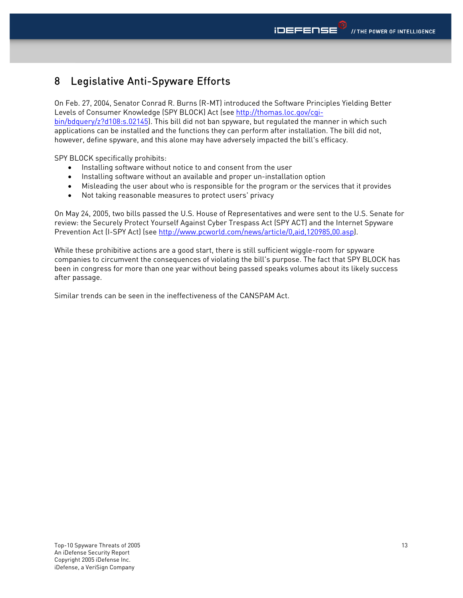## 8 Legislative Anti-Spyware Efforts

On Feb. 27, 2004, Senator Conrad R. Burns (R-MT) introduced the Software Principles Yielding Better Levels of Consumer Knowledge (SPY BLOCK) Act (see http://thomas.loc.gov/cgibin/bdquery/z?d108:s.02145). This bill did not ban spyware, but regulated the manner in which such applications can be installed and the functions they can perform after installation. The bill did not, however, define spyware, and this alone may have adversely impacted the bill's efficacy.

SPY BLOCK specifically prohibits:

- Installing software without notice to and consent from the user
- Installing software without an available and proper un-installation option
- Misleading the user about who is responsible for the program or the services that it provides
- Not taking reasonable measures to protect users' privacy

On May 24, 2005, two bills passed the U.S. House of Representatives and were sent to the U.S. Senate for review: the Securely Protect Yourself Against Cyber Trespass Act (SPY ACT) and the Internet Spyware Prevention Act (I-SPY Act) (see http://www.pcworld.com/news/article/0,aid,120985,00.asp).

While these prohibitive actions are a good start, there is still sufficient wiggle-room for spyware companies to circumvent the consequences of violating the bill's purpose. The fact that SPY BLOCK has been in congress for more than one year without being passed speaks volumes about its likely success after passage.

Similar trends can be seen in the ineffectiveness of the CANSPAM Act.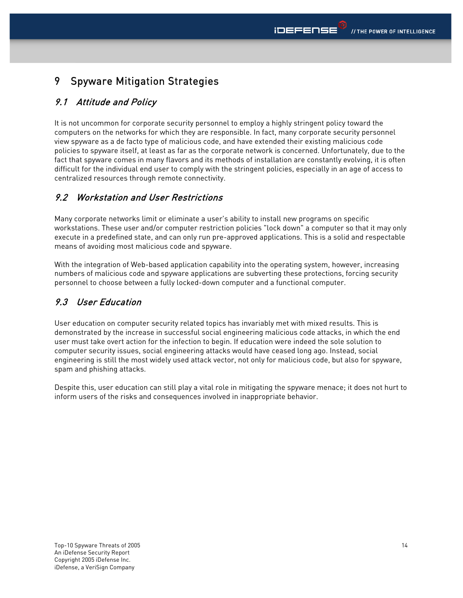## 9 Spyware Mitigation Strategies

### 9.1 Attitude and Policy

It is not uncommon for corporate security personnel to employ a highly stringent policy toward the computers on the networks for which they are responsible. In fact, many corporate security personnel view spyware as a de facto type of malicious code, and have extended their existing malicious code policies to spyware itself, at least as far as the corporate network is concerned. Unfortunately, due to the fact that spyware comes in many flavors and its methods of installation are constantly evolving, it is often difficult for the individual end user to comply with the stringent policies, especially in an age of access to centralized resources through remote connectivity.

### 9.2 Workstation and User Restrictions

Many corporate networks limit or eliminate a user's ability to install new programs on specific workstations. These user and/or computer restriction policies "lock down" a computer so that it may only execute in a predefined state, and can only run pre-approved applications. This is a solid and respectable means of avoiding most malicious code and spyware.

With the integration of Web-based application capability into the operating system, however, increasing numbers of malicious code and spyware applications are subverting these protections, forcing security personnel to choose between a fully locked-down computer and a functional computer.

### 9.3 User Education

User education on computer security related topics has invariably met with mixed results. This is demonstrated by the increase in successful social engineering malicious code attacks, in which the end user must take overt action for the infection to begin. If education were indeed the sole solution to computer security issues, social engineering attacks would have ceased long ago. Instead, social engineering is still the most widely used attack vector, not only for malicious code, but also for spyware, spam and phishing attacks.

Despite this, user education can still play a vital role in mitigating the spyware menace; it does not hurt to inform users of the risks and consequences involved in inappropriate behavior.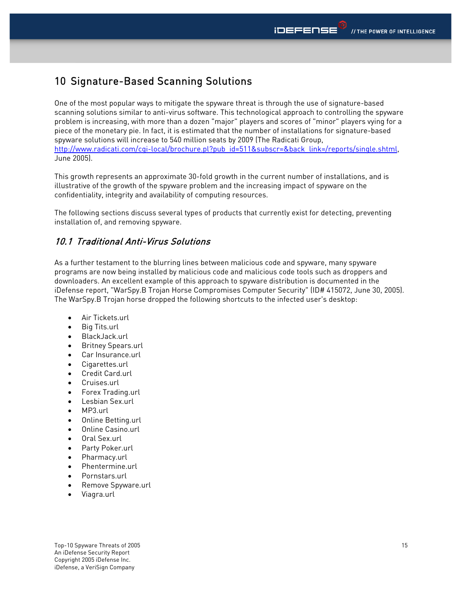## 10 Signature-Based Scanning Solutions

One of the most popular ways to mitigate the spyware threat is through the use of signature-based scanning solutions similar to anti-virus software. This technological approach to controlling the spyware problem is increasing, with more than a dozen "major" players and scores of "minor" players vying for a piece of the monetary pie. In fact, it is estimated that the number of installations for signature-based spyware solutions will increase to 540 million seats by 2009 (The Radicati Group, http://www.radicati.com/cgi-local/brochure.pl?pub\_id=511&subscr=&back\_link=/reports/single.shtml, June 2005).

This growth represents an approximate 30-fold growth in the current number of installations, and is illustrative of the growth of the spyware problem and the increasing impact of spyware on the confidentiality, integrity and availability of computing resources.

The following sections discuss several types of products that currently exist for detecting, preventing installation of, and removing spyware.

### 10.1 Traditional Anti-Virus Solutions

As a further testament to the blurring lines between malicious code and spyware, many spyware programs are now being installed by malicious code and malicious code tools such as droppers and downloaders. An excellent example of this approach to spyware distribution is documented in the iDefense report, "WarSpy.B Trojan Horse Compromises Computer Security" (ID# 415072, June 30, 2005). The WarSpy.B Trojan horse dropped the following shortcuts to the infected user's desktop:

- Air Tickets.url
- Big Tits.url
- BlackJack.url
- Britney Spears.url
- Car Insurance.url
- Cigarettes.url
- Credit Card.url
- Cruises.url
- Forex Trading.url
- Lesbian Sex.url
- MP3.url
- Online Betting.url
- Online Casino.url
- Oral Sex.url
- Party Poker.url
- Pharmacy.url
- Phentermine.url
- Pornstars.url
- Remove Spyware.url
- Viagra.url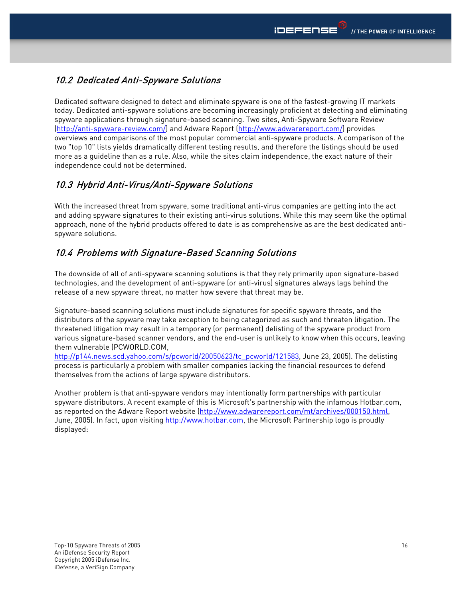### 10.2 Dedicated Anti-Spyware Solutions

Dedicated software designed to detect and eliminate spyware is one of the fastest-growing IT markets today. Dedicated anti-spyware solutions are becoming increasingly proficient at detecting and eliminating spyware applications through signature-based scanning. Two sites, Anti-Spyware Software Review (http://anti-spyware-review.com/) and Adware Report (http://www.adwarereport.com/) provides overviews and comparisons of the most popular commercial anti-spyware products. A comparison of the two "top 10" lists yields dramatically different testing results, and therefore the listings should be used more as a guideline than as a rule. Also, while the sites claim independence, the exact nature of their independence could not be determined.

### 10.3 Hybrid Anti-Virus/Anti-Spyware Solutions

With the increased threat from spyware, some traditional anti-virus companies are getting into the act and adding spyware signatures to their existing anti-virus solutions. While this may seem like the optimal approach, none of the hybrid products offered to date is as comprehensive as are the best dedicated antispyware solutions.

### 10.4 Problems with Signature-Based Scanning Solutions

The downside of all of anti-spyware scanning solutions is that they rely primarily upon signature-based technologies, and the development of anti-spyware (or anti-virus) signatures always lags behind the release of a new spyware threat, no matter how severe that threat may be.

Signature-based scanning solutions must include signatures for specific spyware threats, and the distributors of the spyware may take exception to being categorized as such and threaten litigation. The threatened litigation may result in a temporary (or permanent) delisting of the spyware product from various signature-based scanner vendors, and the end-user is unlikely to know when this occurs, leaving them vulnerable (PCWORLD.COM,

http://p144.news.scd.yahoo.com/s/pcworld/20050623/tc\_pcworld/121583, June 23, 2005). The delisting process is particularly a problem with smaller companies lacking the financial resources to defend themselves from the actions of large spyware distributors.

Another problem is that anti-spyware vendors may intentionally form partnerships with particular spyware distributors. A recent example of this is Microsoft's partnership with the infamous Hotbar.com, as reported on the Adware Report website (http://www.adwarereport.com/mt/archives/000150.html, June, 2005). In fact, upon visiting http://www.hotbar.com, the Microsoft Partnership logo is proudly displayed: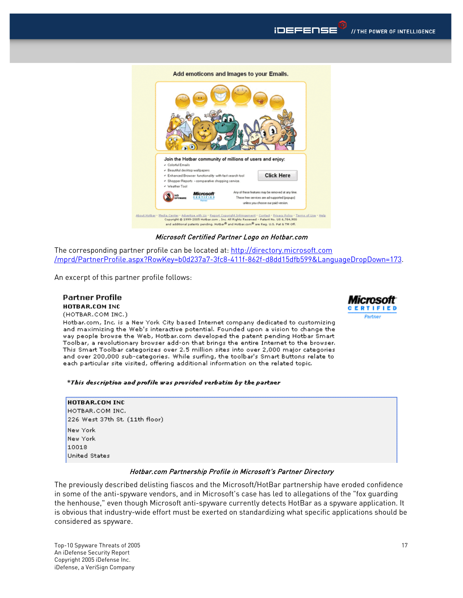

Microsoft Certified Partner Logo on Hotbar.com

The corresponding partner profile can be located at: http://directory.microsoft.com /mprd/PartnerProfile.aspx?RowKey=b0d237a7-3fc8-411f-862f-d8dd15dfb599&LanguageDropDown=173.

An excerpt of this partner profile follows:

### **Partner Profile** HOTBAR.COM INC

(HOTBAR.COM INC.)

Hotbar.com, Inc. is a New York City based Internet company dedicated to customizing and maximizing the Web's interactive potential. Founded upon a vision to change the way people browse the Web, Hotbar.com developed the patent pending Hotbar Smart Toolbar, a revolutionary browser add-on that brings the entire Internet to the browser. This Smart Toolbar categorizes over 2.5 million sites into over 2,000 major categories and over 200,000 sub-categories. While surfing, the toolbar's Smart Buttons relate to each particular site visited, offering additional information on the related topic.

#### \*This description and profile was provided verbatim by the partner

### HOTBAR.COM INC

HOTBAR.COM INC. 226 West 37th St. (11th floor) New York

New York 10018 United States

### Hotbar.com Partnership Profile in Microsoft's Partner Directory

The previously described delisting fiascos and the Microsoft/HotBar partnership have eroded confidence in some of the anti-spyware vendors, and in Microsoft's case has led to allegations of the "fox guarding the henhouse," even though Microsoft anti-spyware currently detects HotBar as a spyware application. It is obvious that industry-wide effort must be exerted on standardizing what specific applications should be considered as spyware.

Top-10 Spyware Threats of 2005 An iDefense Security Report Copyright 2005 iDefense Inc. iDefense, a VeriSign Company

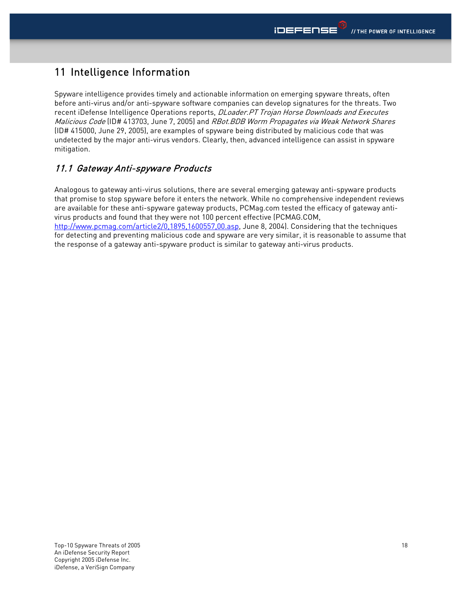## 11 Intelligence Information

Spyware intelligence provides timely and actionable information on emerging spyware threats, often before anti-virus and/or anti-spyware software companies can develop signatures for the threats. Two recent iDefense Intelligence Operations reports, DLoader.PT Trojan Horse Downloads and Executes Malicious Code (ID# 413703, June 7, 2005) and RBot.BDB Worm Propagates via Weak Network Shares (ID# 415000, June 29, 2005), are examples of spyware being distributed by malicious code that was undetected by the major anti-virus vendors. Clearly, then, advanced intelligence can assist in spyware mitigation.

### 11.1 Gateway Anti-spyware Products

Analogous to gateway anti-virus solutions, there are several emerging gateway anti-spyware products that promise to stop spyware before it enters the network. While no comprehensive independent reviews are available for these anti-spyware gateway products, PCMag.com tested the efficacy of gateway antivirus products and found that they were not 100 percent effective (PCMAG.COM, http://www.pcmag.com/article2/0,1895,1600557,00.asp, June 8, 2004). Considering that the techniques for detecting and preventing malicious code and spyware are very similar, it is reasonable to assume that the response of a gateway anti-spyware product is similar to gateway anti-virus products.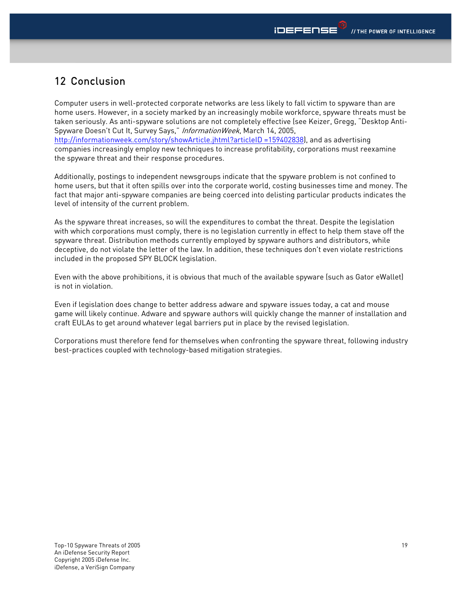## 12 Conclusion

Computer users in well-protected corporate networks are less likely to fall victim to spyware than are home users. However, in a society marked by an increasingly mobile workforce, spyware threats must be taken seriously. As anti-spyware solutions are not completely effective (see Keizer, Gregg, "Desktop Anti-Spyware Doesn't Cut It, Survey Says," InformationWeek, March 14, 2005, http://informationweek.com/story/showArticle.jhtml?articleID =159402838), and as advertising companies increasingly employ new techniques to increase profitability, corporations must reexamine the spyware threat and their response procedures.

Additionally, postings to independent newsgroups indicate that the spyware problem is not confined to home users, but that it often spills over into the corporate world, costing businesses time and money. The fact that major anti-spyware companies are being coerced into delisting particular products indicates the level of intensity of the current problem.

As the spyware threat increases, so will the expenditures to combat the threat. Despite the legislation with which corporations must comply, there is no legislation currently in effect to help them stave off the spyware threat. Distribution methods currently employed by spyware authors and distributors, while deceptive, do not violate the letter of the law. In addition, these techniques don't even violate restrictions included in the proposed SPY BLOCK legislation.

Even with the above prohibitions, it is obvious that much of the available spyware (such as Gator eWallet) is not in violation.

Even if legislation does change to better address adware and spyware issues today, a cat and mouse game will likely continue. Adware and spyware authors will quickly change the manner of installation and craft EULAs to get around whatever legal barriers put in place by the revised legislation.

Corporations must therefore fend for themselves when confronting the spyware threat, following industry best-practices coupled with technology-based mitigation strategies.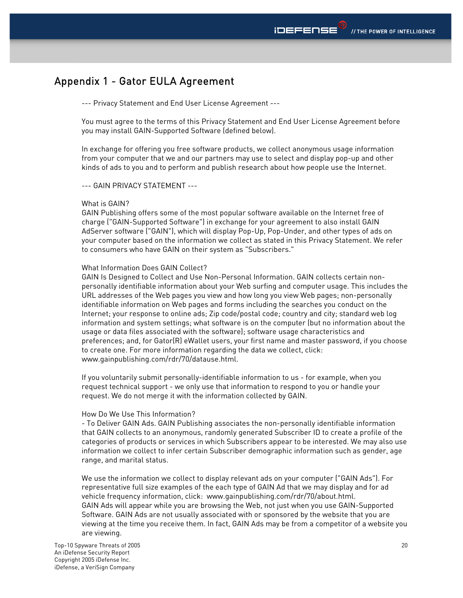### Appendix 1 - Gator EULA Agreement

--- Privacy Statement and End User License Agreement ---

You must agree to the terms of this Privacy Statement and End User License Agreement before you may install GAIN-Supported Software (defined below).

In exchange for offering you free software products, we collect anonymous usage information from your computer that we and our partners may use to select and display pop-up and other kinds of ads to you and to perform and publish research about how people use the Internet.

--- GAIN PRIVACY STATEMENT ---

### What is GAIN?

GAIN Publishing offers some of the most popular software available on the Internet free of charge ("GAIN-Supported Software") in exchange for your agreement to also install GAIN AdServer software ("GAIN"), which will display Pop-Up, Pop-Under, and other types of ads on your computer based on the information we collect as stated in this Privacy Statement. We refer to consumers who have GAIN on their system as "Subscribers."

### What Information Does GAIN Collect?

GAIN Is Designed to Collect and Use Non-Personal Information. GAIN collects certain nonpersonally identifiable information about your Web surfing and computer usage. This includes the URL addresses of the Web pages you view and how long you view Web pages; non-personally identifiable information on Web pages and forms including the searches you conduct on the Internet; your response to online ads; Zip code/postal code; country and city; standard web log information and system settings; what software is on the computer (but no information about the usage or data files associated with the software); software usage characteristics and preferences; and, for Gator(R) eWallet users, your first name and master password, if you choose to create one. For more information regarding the data we collect, click: www.gainpublishing.com/rdr/70/datause.html.

If you voluntarily submit personally-identifiable information to us - for example, when you request technical support - we only use that information to respond to you or handle your request. We do not merge it with the information collected by GAIN.

### How Do We Use This Information?

- To Deliver GAIN Ads. GAIN Publishing associates the non-personally identifiable information that GAIN collects to an anonymous, randomly generated Subscriber ID to create a profile of the categories of products or services in which Subscribers appear to be interested. We may also use information we collect to infer certain Subscriber demographic information such as gender, age range, and marital status.

We use the information we collect to display relevant ads on your computer ("GAIN Ads"). For representative full size examples of the each type of GAIN Ad that we may display and for ad vehicle frequency information, click: www.gainpublishing.com/rdr/70/about.html. GAIN Ads will appear while you are browsing the Web, not just when you use GAIN-Supported Software. GAIN Ads are not usually associated with or sponsored by the website that you are viewing at the time you receive them. In fact, GAIN Ads may be from a competitor of a website you are viewing.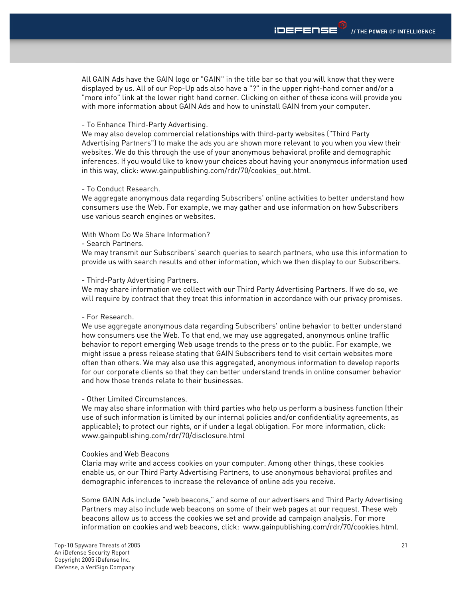All GAIN Ads have the GAIN logo or "GAIN" in the title bar so that you will know that they were displayed by us. All of our Pop-Up ads also have a "?" in the upper right-hand corner and/or a "more info" link at the lower right hand corner. Clicking on either of these icons will provide you with more information about GAIN Ads and how to uninstall GAIN from your computer.

### - To Enhance Third-Party Advertising.

We may also develop commercial relationships with third-party websites ("Third Party Advertising Partners") to make the ads you are shown more relevant to you when you view their websites. We do this through the use of your anonymous behavioral profile and demographic inferences. If you would like to know your choices about having your anonymous information used in this way, click: www.gainpublishing.com/rdr/70/cookies\_out.html.

#### - To Conduct Research.

We aggregate anonymous data regarding Subscribers' online activities to better understand how consumers use the Web. For example, we may gather and use information on how Subscribers use various search engines or websites.

### With Whom Do We Share Information?

#### - Search Partners.

We may transmit our Subscribers' search queries to search partners, who use this information to provide us with search results and other information, which we then display to our Subscribers.

#### - Third-Party Advertising Partners.

We may share information we collect with our Third Party Advertising Partners. If we do so, we will require by contract that they treat this information in accordance with our privacy promises.

#### - For Research.

We use aggregate anonymous data regarding Subscribers' online behavior to better understand how consumers use the Web. To that end, we may use aggregated, anonymous online traffic behavior to report emerging Web usage trends to the press or to the public. For example, we might issue a press release stating that GAIN Subscribers tend to visit certain websites more often than others. We may also use this aggregated, anonymous information to develop reports for our corporate clients so that they can better understand trends in online consumer behavior and how those trends relate to their businesses.

### - Other Limited Circumstances.

We may also share information with third parties who help us perform a business function (their use of such information is limited by our internal policies and/or confidentiality agreements, as applicable); to protect our rights, or if under a legal obligation. For more information, click: www.gainpublishing.com/rdr/70/disclosure.html

#### Cookies and Web Beacons

Claria may write and access cookies on your computer. Among other things, these cookies enable us, or our Third Party Advertising Partners, to use anonymous behavioral profiles and demographic inferences to increase the relevance of online ads you receive.

Some GAIN Ads include "web beacons," and some of our advertisers and Third Party Advertising Partners may also include web beacons on some of their web pages at our request. These web beacons allow us to access the cookies we set and provide ad campaign analysis. For more information on cookies and web beacons, click: www.gainpublishing.com/rdr/70/cookies.html.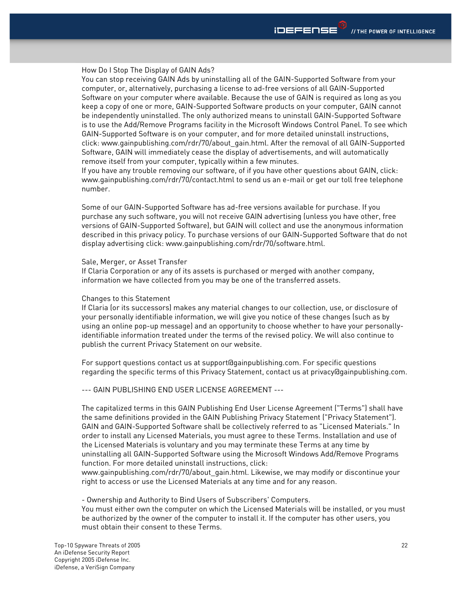How Do I Stop The Display of GAIN Ads?

You can stop receiving GAIN Ads by uninstalling all of the GAIN-Supported Software from your computer, or, alternatively, purchasing a license to ad-free versions of all GAIN-Supported Software on your computer where available. Because the use of GAIN is required as long as you keep a copy of one or more, GAIN-Supported Software products on your computer, GAIN cannot be independently uninstalled. The only authorized means to uninstall GAIN-Supported Software is to use the Add/Remove Programs facility in the Microsoft Windows Control Panel. To see which GAIN-Supported Software is on your computer, and for more detailed uninstall instructions, click: www.gainpublishing.com/rdr/70/about\_gain.html. After the removal of all GAIN-Supported Software, GAIN will immediately cease the display of advertisements, and will automatically remove itself from your computer, typically within a few minutes.

If you have any trouble removing our software, of if you have other questions about GAIN, click: www.gainpublishing.com/rdr/70/contact.html to send us an e-mail or get our toll free telephone number.

Some of our GAIN-Supported Software has ad-free versions available for purchase. If you purchase any such software, you will not receive GAIN advertising (unless you have other, free versions of GAIN-Supported Software), but GAIN will collect and use the anonymous information described in this privacy policy. To purchase versions of our GAIN-Supported Software that do not display advertising click: www.gainpublishing.com/rdr/70/software.html.

### Sale, Merger, or Asset Transfer

If Claria Corporation or any of its assets is purchased or merged with another company, information we have collected from you may be one of the transferred assets.

### Changes to this Statement

If Claria (or its successors) makes any material changes to our collection, use, or disclosure of your personally identifiable information, we will give you notice of these changes (such as by using an online pop-up message) and an opportunity to choose whether to have your personallyidentifiable information treated under the terms of the revised policy. We will also continue to publish the current Privacy Statement on our website.

For support questions contact us at support@qainpublishing.com. For specific questions regarding the specific terms of this Privacy Statement, contact us at privacy@gainpublishing.com.

--- GAIN PUBLISHING END USER LICENSE AGREEMENT ---

The capitalized terms in this GAIN Publishing End User License Agreement ("Terms") shall have the same definitions provided in the GAIN Publishing Privacy Statement ("Privacy Statement"). GAIN and GAIN-Supported Software shall be collectively referred to as "Licensed Materials." In order to install any Licensed Materials, you must agree to these Terms. Installation and use of the Licensed Materials is voluntary and you may terminate these Terms at any time by uninstalling all GAIN-Supported Software using the Microsoft Windows Add/Remove Programs function. For more detailed uninstall instructions, click:

www.gainpublishing.com/rdr/70/about\_gain.html. Likewise, we may modify or discontinue your right to access or use the Licensed Materials at any time and for any reason.

- Ownership and Authority to Bind Users of Subscribers' Computers.

You must either own the computer on which the Licensed Materials will be installed, or you must be authorized by the owner of the computer to install it. If the computer has other users, you must obtain their consent to these Terms.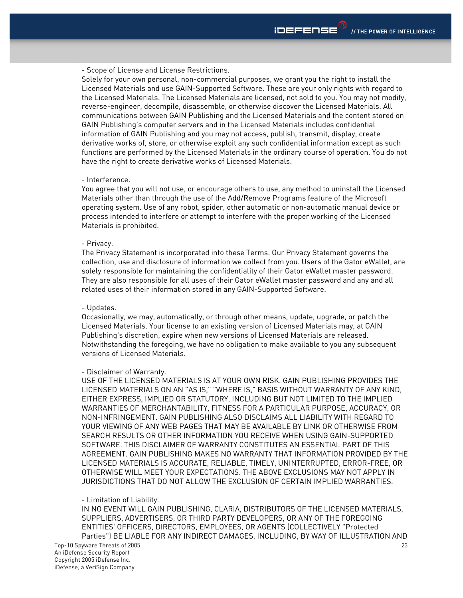- Scope of License and License Restrictions.

Solely for your own personal, non-commercial purposes, we grant you the right to install the Licensed Materials and use GAIN-Supported Software. These are your only rights with regard to the Licensed Materials. The Licensed Materials are licensed, not sold to you. You may not modify, reverse-engineer, decompile, disassemble, or otherwise discover the Licensed Materials. All communications between GAIN Publishing and the Licensed Materials and the content stored on GAIN Publishing's computer servers and in the Licensed Materials includes confidential information of GAIN Publishing and you may not access, publish, transmit, display, create derivative works of, store, or otherwise exploit any such confidential information except as such functions are performed by the Licensed Materials in the ordinary course of operation. You do not have the right to create derivative works of Licensed Materials.

#### - Interference.

You agree that you will not use, or encourage others to use, any method to uninstall the Licensed Materials other than through the use of the Add/Remove Programs feature of the Microsoft operating system. Use of any robot, spider, other automatic or non-automatic manual device or process intended to interfere or attempt to interfere with the proper working of the Licensed Materials is prohibited.

#### - Privacy.

The Privacy Statement is incorporated into these Terms. Our Privacy Statement governs the collection, use and disclosure of information we collect from you. Users of the Gator eWallet, are solely responsible for maintaining the confidentiality of their Gator eWallet master password. They are also responsible for all uses of their Gator eWallet master password and any and all related uses of their information stored in any GAIN-Supported Software.

### - Updates.

Occasionally, we may, automatically, or through other means, update, upgrade, or patch the Licensed Materials. Your license to an existing version of Licensed Materials may, at GAIN Publishing's discretion, expire when new versions of Licensed Materials are released. Notwithstanding the foregoing, we have no obligation to make available to you any subsequent versions of Licensed Materials.

### - Disclaimer of Warranty.

USE OF THE LICENSED MATERIALS IS AT YOUR OWN RISK. GAIN PUBLISHING PROVIDES THE LICENSED MATERIALS ON AN "AS IS," "WHERE IS," BASIS WITHOUT WARRANTY OF ANY KIND, EITHER EXPRESS, IMPLIED OR STATUTORY, INCLUDING BUT NOT LIMITED TO THE IMPLIED WARRANTIES OF MERCHANTABILITY, FITNESS FOR A PARTICULAR PURPOSE, ACCURACY, OR NON-INFRINGEMENT. GAIN PUBLISHING ALSO DISCLAIMS ALL LIABILITY WITH REGARD TO YOUR VIEWING OF ANY WEB PAGES THAT MAY BE AVAILABLE BY LINK OR OTHERWISE FROM SEARCH RESULTS OR OTHER INFORMATION YOU RECEIVE WHEN USING GAIN-SUPPORTED SOFTWARE. THIS DISCLAIMER OF WARRANTY CONSTITUTES AN ESSENTIAL PART OF THIS AGREEMENT. GAIN PUBLISHING MAKES NO WARRANTY THAT INFORMATION PROVIDED BY THE LICENSED MATERIALS IS ACCURATE, RELIABLE, TIMELY, UNINTERRUPTED, ERROR-FREE, OR OTHERWISE WILL MEET YOUR EXPECTATIONS. THE ABOVE EXCLUSIONS MAY NOT APPLY IN JURISDICTIONS THAT DO NOT ALLOW THE EXCLUSION OF CERTAIN IMPLIED WARRANTIES.

### - Limitation of Liability.

IN NO EVENT WILL GAIN PUBLISHING, CLARIA, DISTRIBUTORS OF THE LICENSED MATERIALS, SUPPLIERS, ADVERTISERS, OR THIRD PARTY DEVELOPERS, OR ANY OF THE FOREGOING ENTITIES' OFFICERS, DIRECTORS, EMPLOYEES, OR AGENTS (COLLECTIVELY "Protected Parties") BE LIABLE FOR ANY INDIRECT DAMAGES, INCLUDING, BY WAY OF ILLUSTRATION AND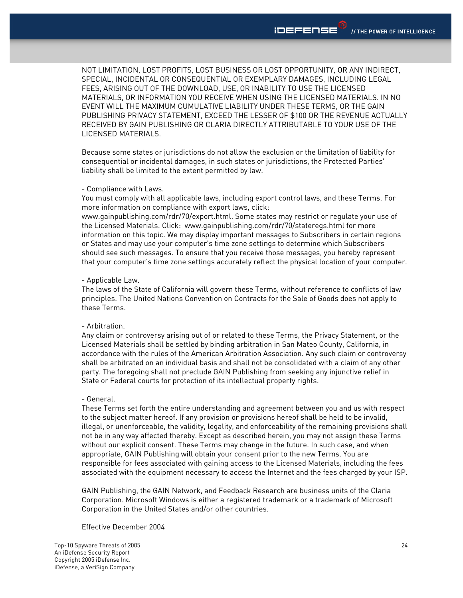NOT LIMITATION, LOST PROFITS, LOST BUSINESS OR LOST OPPORTUNITY, OR ANY INDIRECT, SPECIAL, INCIDENTAL OR CONSEQUENTIAL OR EXEMPLARY DAMAGES, INCLUDING LEGAL FEES, ARISING OUT OF THE DOWNLOAD, USE, OR INABILITY TO USE THE LICENSED MATERIALS, OR INFORMATION YOU RECEIVE WHEN USING THE LICENSED MATERIALS. IN NO EVENT WILL THE MAXIMUM CUMULATIVE LIABILITY UNDER THESE TERMS, OR THE GAIN PUBLISHING PRIVACY STATEMENT, EXCEED THE LESSER OF \$100 OR THE REVENUE ACTUALLY RECEIVED BY GAIN PUBLISHING OR CLARIA DIRECTLY ATTRIBUTABLE TO YOUR USE OF THE LICENSED MATERIALS.

Because some states or jurisdictions do not allow the exclusion or the limitation of liability for consequential or incidental damages, in such states or jurisdictions, the Protected Parties' liability shall be limited to the extent permitted by law.

#### - Compliance with Laws.

You must comply with all applicable laws, including export control laws, and these Terms. For more information on compliance with export laws, click:

www.gainpublishing.com/rdr/70/export.html. Some states may restrict or regulate your use of the Licensed Materials. Click: www.gainpublishing.com/rdr/70/stateregs.html for more information on this topic. We may display important messages to Subscribers in certain regions or States and may use your computer's time zone settings to determine which Subscribers should see such messages. To ensure that you receive those messages, you hereby represent that your computer's time zone settings accurately reflect the physical location of your computer.

### - Applicable Law.

The laws of the State of California will govern these Terms, without reference to conflicts of law principles. The United Nations Convention on Contracts for the Sale of Goods does not apply to these Terms.

### - Arbitration.

Any claim or controversy arising out of or related to these Terms, the Privacy Statement, or the Licensed Materials shall be settled by binding arbitration in San Mateo County, California, in accordance with the rules of the American Arbitration Association. Any such claim or controversy shall be arbitrated on an individual basis and shall not be consolidated with a claim of any other party. The foregoing shall not preclude GAIN Publishing from seeking any injunctive relief in State or Federal courts for protection of its intellectual property rights.

### - General.

These Terms set forth the entire understanding and agreement between you and us with respect to the subject matter hereof. If any provision or provisions hereof shall be held to be invalid, illegal, or unenforceable, the validity, legality, and enforceability of the remaining provisions shall not be in any way affected thereby. Except as described herein, you may not assign these Terms without our explicit consent. These Terms may change in the future. In such case, and when appropriate, GAIN Publishing will obtain your consent prior to the new Terms. You are responsible for fees associated with gaining access to the Licensed Materials, including the fees associated with the equipment necessary to access the Internet and the fees charged by your ISP.

GAIN Publishing, the GAIN Network, and Feedback Research are business units of the Claria Corporation. Microsoft Windows is either a registered trademark or a trademark of Microsoft Corporation in the United States and/or other countries.

### Effective December 2004